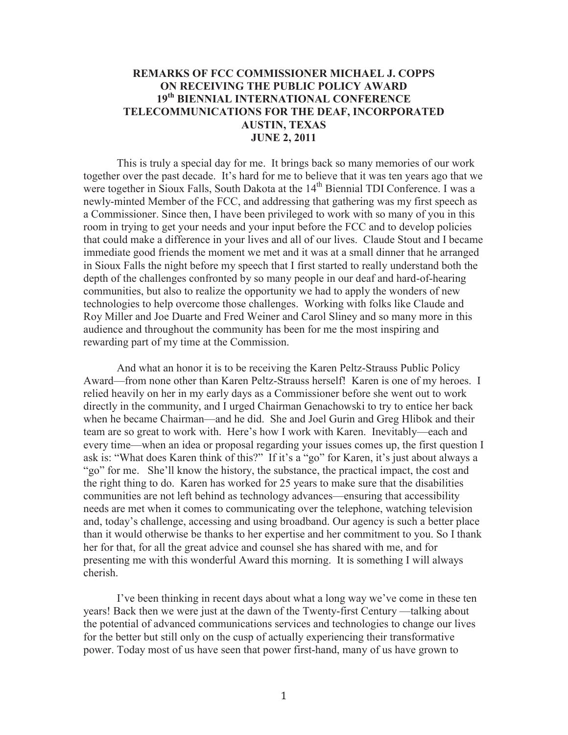## **REMARKS OF FCC COMMISSIONER MICHAEL J. COPPS ON RECEIVING THE PUBLIC POLICY AWARD 19th BIENNIAL INTERNATIONAL CONFERENCE TELECOMMUNICATIONS FOR THE DEAF, INCORPORATED AUSTIN, TEXAS JUNE 2, 2011**

This is truly a special day for me. It brings back so many memories of our work together over the past decade. It's hard for me to believe that it was ten years ago that we were together in Sioux Falls, South Dakota at the 14<sup>th</sup> Biennial TDI Conference. I was a newly-minted Member of the FCC, and addressing that gathering was my first speech as a Commissioner. Since then, I have been privileged to work with so many of you in this room in trying to get your needs and your input before the FCC and to develop policies that could make a difference in your lives and all of our lives. Claude Stout and I became immediate good friends the moment we met and it was at a small dinner that he arranged in Sioux Falls the night before my speech that I first started to really understand both the depth of the challenges confronted by so many people in our deaf and hard-of-hearing communities, but also to realize the opportunity we had to apply the wonders of new technologies to help overcome those challenges. Working with folks like Claude and Roy Miller and Joe Duarte and Fred Weiner and Carol Sliney and so many more in this audience and throughout the community has been for me the most inspiring and rewarding part of my time at the Commission.

And what an honor it is to be receiving the Karen Peltz-Strauss Public Policy Award—from none other than Karen Peltz-Strauss herself! Karen is one of my heroes. I relied heavily on her in my early days as a Commissioner before she went out to work directly in the community, and I urged Chairman Genachowski to try to entice her back when he became Chairman—and he did. She and Joel Gurin and Greg Hlibok and their team are so great to work with. Here's how I work with Karen. Inevitably—each and every time—when an idea or proposal regarding your issues comes up, the first question I ask is: "What does Karen think of this?" If it's a "go" for Karen, it's just about always a "go" for me. She'll know the history, the substance, the practical impact, the cost and the right thing to do. Karen has worked for 25 years to make sure that the disabilities communities are not left behind as technology advances—ensuring that accessibility needs are met when it comes to communicating over the telephone, watching television and, today's challenge, accessing and using broadband. Our agency is such a better place than it would otherwise be thanks to her expertise and her commitment to you. So I thank her for that, for all the great advice and counsel she has shared with me, and for presenting me with this wonderful Award this morning. It is something I will always cherish.

I've been thinking in recent days about what a long way we've come in these ten years! Back then we were just at the dawn of the Twenty-first Century —talking about the potential of advanced communications services and technologies to change our lives for the better but still only on the cusp of actually experiencing their transformative power. Today most of us have seen that power first-hand, many of us have grown to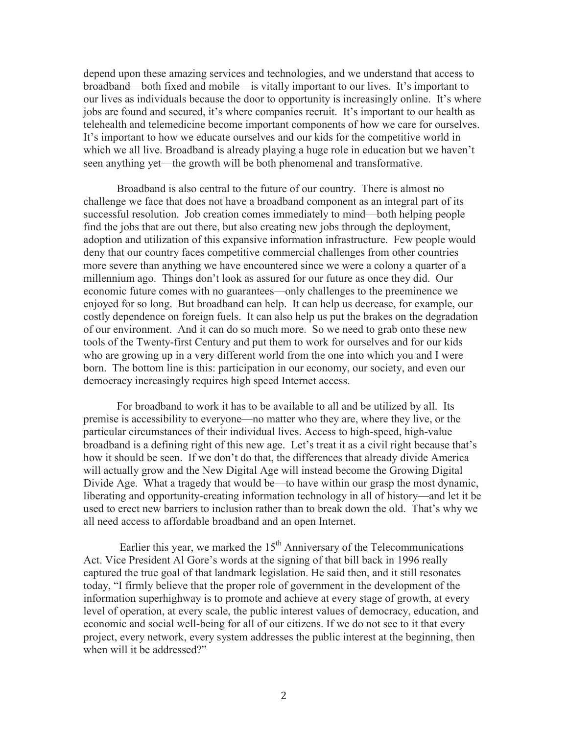depend upon these amazing services and technologies, and we understand that access to broadband—both fixed and mobile—is vitally important to our lives. It's important to our lives as individuals because the door to opportunity is increasingly online. It's where jobs are found and secured, it's where companies recruit. It's important to our health as telehealth and telemedicine become important components of how we care for ourselves. It's important to how we educate ourselves and our kids for the competitive world in which we all live. Broadband is already playing a huge role in education but we haven't seen anything yet—the growth will be both phenomenal and transformative.

Broadband is also central to the future of our country. There is almost no challenge we face that does not have a broadband component as an integral part of its successful resolution. Job creation comes immediately to mind—both helping people find the jobs that are out there, but also creating new jobs through the deployment, adoption and utilization of this expansive information infrastructure. Few people would deny that our country faces competitive commercial challenges from other countries more severe than anything we have encountered since we were a colony a quarter of a millennium ago. Things don't look as assured for our future as once they did. Our economic future comes with no guarantees—only challenges to the preeminence we enjoyed for so long. But broadband can help. It can help us decrease, for example, our costly dependence on foreign fuels. It can also help us put the brakes on the degradation of our environment. And it can do so much more. So we need to grab onto these new tools of the Twenty-first Century and put them to work for ourselves and for our kids who are growing up in a very different world from the one into which you and I were born. The bottom line is this: participation in our economy, our society, and even our democracy increasingly requires high speed Internet access.

For broadband to work it has to be available to all and be utilized by all. Its premise is accessibility to everyone—no matter who they are, where they live, or the particular circumstances of their individual lives. Access to high-speed, high-value broadband is a defining right of this new age. Let's treat it as a civil right because that's how it should be seen. If we don't do that, the differences that already divide America will actually grow and the New Digital Age will instead become the Growing Digital Divide Age. What a tragedy that would be—to have within our grasp the most dynamic, liberating and opportunity-creating information technology in all of history—and let it be used to erect new barriers to inclusion rather than to break down the old. That's why we all need access to affordable broadband and an open Internet.

Earlier this year, we marked the  $15<sup>th</sup>$  Anniversary of the Telecommunications Act. Vice President Al Gore's words at the signing of that bill back in 1996 really captured the true goal of that landmark legislation. He said then, and it still resonates today, "I firmly believe that the proper role of government in the development of the information superhighway is to promote and achieve at every stage of growth, at every level of operation, at every scale, the public interest values of democracy, education, and economic and social well-being for all of our citizens. If we do not see to it that every project, every network, every system addresses the public interest at the beginning, then when will it be addressed?"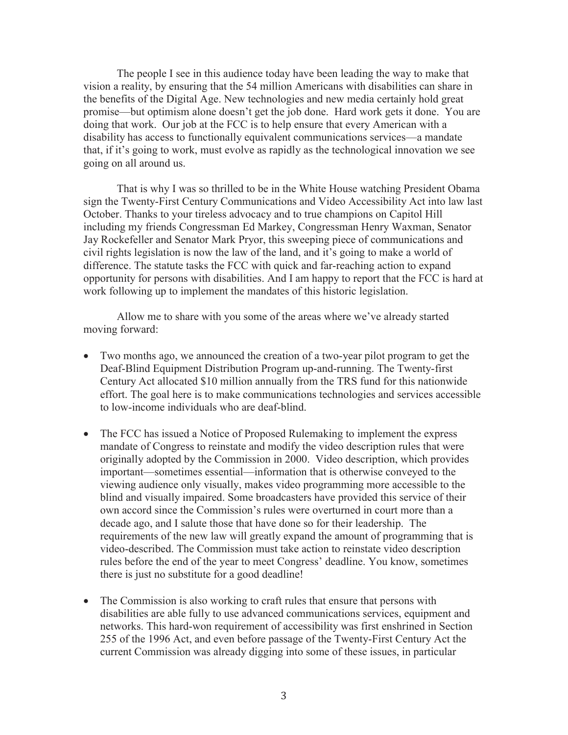The people I see in this audience today have been leading the way to make that vision a reality, by ensuring that the 54 million Americans with disabilities can share in the benefits of the Digital Age. New technologies and new media certainly hold great promise—but optimism alone doesn't get the job done. Hard work gets it done. You are doing that work. Our job at the FCC is to help ensure that every American with a disability has access to functionally equivalent communications services—a mandate that, if it's going to work, must evolve as rapidly as the technological innovation we see going on all around us.

That is why I was so thrilled to be in the White House watching President Obama sign the Twenty-First Century Communications and Video Accessibility Act into law last October. Thanks to your tireless advocacy and to true champions on Capitol Hill including my friends Congressman Ed Markey, Congressman Henry Waxman, Senator Jay Rockefeller and Senator Mark Pryor, this sweeping piece of communications and civil rights legislation is now the law of the land, and it's going to make a world of difference. The statute tasks the FCC with quick and far-reaching action to expand opportunity for persons with disabilities. And I am happy to report that the FCC is hard at work following up to implement the mandates of this historic legislation.

Allow me to share with you some of the areas where we've already started moving forward:

- · Two months ago, we announced the creation of a two-year pilot program to get the Deaf-Blind Equipment Distribution Program up-and-running. The Twenty-first Century Act allocated \$10 million annually from the TRS fund for this nationwide effort. The goal here is to make communications technologies and services accessible to low-income individuals who are deaf-blind.
- The FCC has issued a Notice of Proposed Rulemaking to implement the express mandate of Congress to reinstate and modify the video description rules that were originally adopted by the Commission in 2000. Video description, which provides important—sometimes essential—information that is otherwise conveyed to the viewing audience only visually, makes video programming more accessible to the blind and visually impaired. Some broadcasters have provided this service of their own accord since the Commission's rules were overturned in court more than a decade ago, and I salute those that have done so for their leadership. The requirements of the new law will greatly expand the amount of programming that is video-described. The Commission must take action to reinstate video description rules before the end of the year to meet Congress' deadline. You know, sometimes there is just no substitute for a good deadline!
- The Commission is also working to craft rules that ensure that persons with disabilities are able fully to use advanced communications services, equipment and networks. This hard-won requirement of accessibility was first enshrined in Section 255 of the 1996 Act, and even before passage of the Twenty-First Century Act the current Commission was already digging into some of these issues, in particular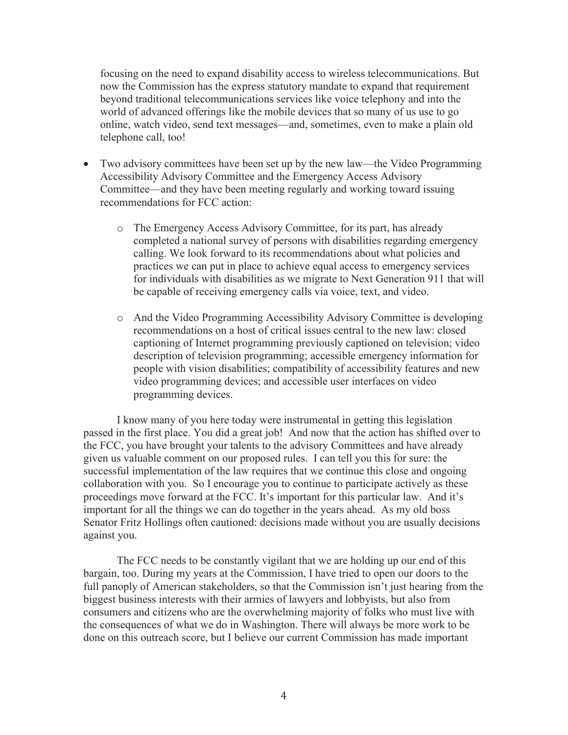focusing on the need to expand disability access to wireless telecommunications. But now the Commission has the express statutory mandate to expand that requirement beyond traditional telecommunications services like voice telephony and into the world of advanced offerings like the mobile devices that so many of us use to go online, watch video, send text messages—and, sometimes, even to make a plain old telephone call, too!

- Two advisory committees have been set up by the new law—the Video Programming Accessibility Advisory Committee and the Emergency Access Advisory Committee—and they have been meeting regularly and working toward issuing recommendations for FCC action:
	- o The Emergency Access Advisory Committee, for its part, has already completed a national survey of persons with disabilities regarding emergency calling. We look forward to its recommendations about what policies and practices we can put in place to achieve equal access to emergency services for individuals with disabilities as we migrate to Next Generation 911 that will be capable of receiving emergency calls via voice, text, and video.
	- o And the Video Programming Accessibility Advisory Committee is developing recommendations on a host of critical issues central to the new law: closed captioning of Internet programming previously captioned on television; video description of television programming; accessible emergency information for people with vision disabilities; compatibility of accessibility features and new video programming devices; and accessible user interfaces on video programming devices.

I know many of you here today were instrumental in getting this legislation passed in the first place. You did a great job! And now that the action has shifted over to the FCC, you have brought your talents to the advisory Committees and have already given us valuable comment on our proposed rules. I can tell you this for sure: the successful implementation of the law requires that we continue this close and ongoing collaboration with you. So I encourage you to continue to participate actively as these proceedings move forward at the FCC. It's important for this particular law. And it's important for all the things we can do together in the years ahead. As my old boss Senator Fritz Hollings often cautioned: decisions made without you are usually decisions against you.

The FCC needs to be constantly vigilant that we are holding up our end of this bargain, too. During my years at the Commission, I have tried to open our doors to the full panoply of American stakeholders, so that the Commission isn't just hearing from the biggest business interests with their armies of lawyers and lobbyists, but also from consumers and citizens who are the overwhelming majority of folks who must live with the consequences of what we do in Washington. There will always be more work to be done on this outreach score, but I believe our current Commission has made important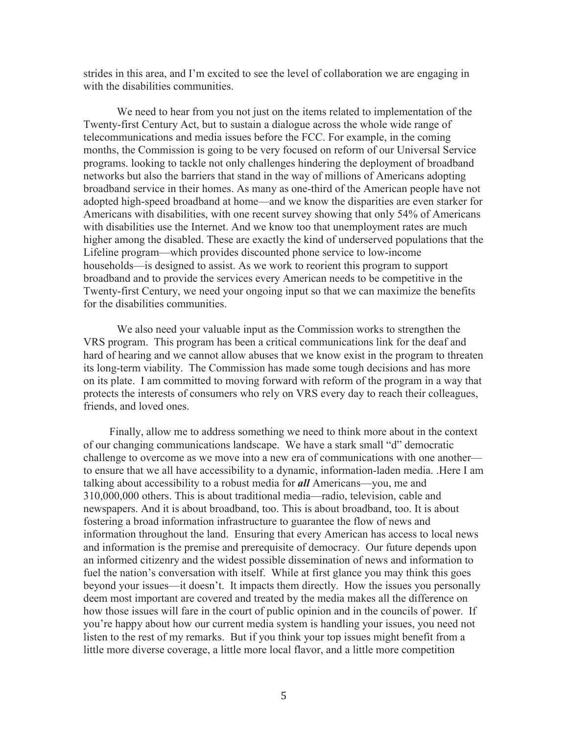strides in this area, and I'm excited to see the level of collaboration we are engaging in with the disabilities communities.

We need to hear from you not just on the items related to implementation of the Twenty-first Century Act, but to sustain a dialogue across the whole wide range of telecommunications and media issues before the FCC. For example, in the coming months, the Commission is going to be very focused on reform of our Universal Service programs. looking to tackle not only challenges hindering the deployment of broadband networks but also the barriers that stand in the way of millions of Americans adopting broadband service in their homes. As many as one-third of the American people have not adopted high-speed broadband at home—and we know the disparities are even starker for Americans with disabilities, with one recent survey showing that only 54% of Americans with disabilities use the Internet. And we know too that unemployment rates are much higher among the disabled. These are exactly the kind of underserved populations that the Lifeline program—which provides discounted phone service to low-income households—is designed to assist. As we work to reorient this program to support broadband and to provide the services every American needs to be competitive in the Twenty-first Century, we need your ongoing input so that we can maximize the benefits for the disabilities communities.

We also need your valuable input as the Commission works to strengthen the VRS program. This program has been a critical communications link for the deaf and hard of hearing and we cannot allow abuses that we know exist in the program to threaten its long-term viability. The Commission has made some tough decisions and has more on its plate. I am committed to moving forward with reform of the program in a way that protects the interests of consumers who rely on VRS every day to reach their colleagues, friends, and loved ones.

Finally, allow me to address something we need to think more about in the context of our changing communications landscape. We have a stark small "d" democratic challenge to overcome as we move into a new era of communications with one another to ensure that we all have accessibility to a dynamic, information-laden media. .Here I am talking about accessibility to a robust media for *all* Americans—you, me and 310,000,000 others. This is about traditional media—radio, television, cable and newspapers. And it is about broadband, too. This is about broadband, too. It is about fostering a broad information infrastructure to guarantee the flow of news and information throughout the land. Ensuring that every American has access to local news and information is the premise and prerequisite of democracy. Our future depends upon an informed citizenry and the widest possible dissemination of news and information to fuel the nation's conversation with itself. While at first glance you may think this goes beyond your issues—it doesn't. It impacts them directly. How the issues you personally deem most important are covered and treated by the media makes all the difference on how those issues will fare in the court of public opinion and in the councils of power. If you're happy about how our current media system is handling your issues, you need not listen to the rest of my remarks. But if you think your top issues might benefit from a little more diverse coverage, a little more local flavor, and a little more competition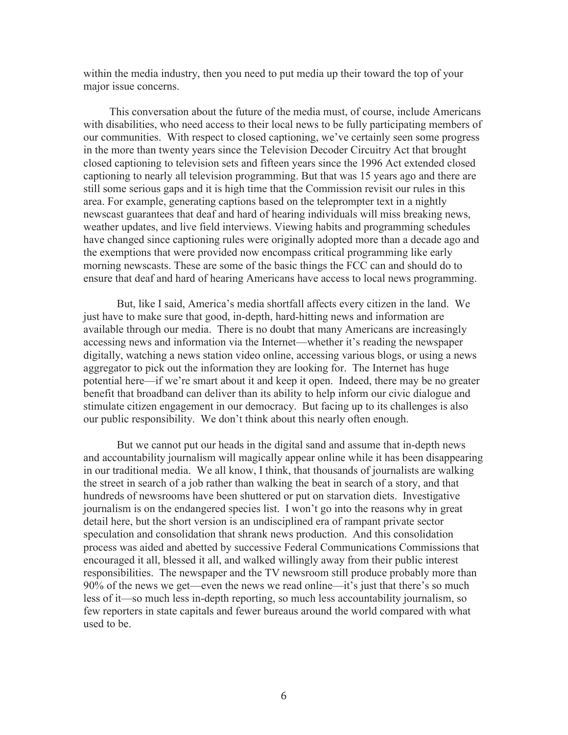within the media industry, then you need to put media up their toward the top of your major issue concerns.

This conversation about the future of the media must, of course, include Americans with disabilities, who need access to their local news to be fully participating members of our communities. With respect to closed captioning, we've certainly seen some progress in the more than twenty years since the Television Decoder Circuitry Act that brought closed captioning to television sets and fifteen years since the 1996 Act extended closed captioning to nearly all television programming. But that was 15 years ago and there are still some serious gaps and it is high time that the Commission revisit our rules in this area. For example, generating captions based on the teleprompter text in a nightly newscast guarantees that deaf and hard of hearing individuals will miss breaking news, weather updates, and live field interviews. Viewing habits and programming schedules have changed since captioning rules were originally adopted more than a decade ago and the exemptions that were provided now encompass critical programming like early morning newscasts. These are some of the basic things the FCC can and should do to ensure that deaf and hard of hearing Americans have access to local news programming.

But, like I said, America's media shortfall affects every citizen in the land. We just have to make sure that good, in-depth, hard-hitting news and information are available through our media. There is no doubt that many Americans are increasingly accessing news and information via the Internet—whether it's reading the newspaper digitally, watching a news station video online, accessing various blogs, or using a news aggregator to pick out the information they are looking for. The Internet has huge potential here—if we're smart about it and keep it open. Indeed, there may be no greater benefit that broadband can deliver than its ability to help inform our civic dialogue and stimulate citizen engagement in our democracy. But facing up to its challenges is also our public responsibility. We don't think about this nearly often enough.

But we cannot put our heads in the digital sand and assume that in-depth news and accountability journalism will magically appear online while it has been disappearing in our traditional media. We all know, I think, that thousands of journalists are walking the street in search of a job rather than walking the beat in search of a story, and that hundreds of newsrooms have been shuttered or put on starvation diets. Investigative journalism is on the endangered species list. I won't go into the reasons why in great detail here, but the short version is an undisciplined era of rampant private sector speculation and consolidation that shrank news production. And this consolidation process was aided and abetted by successive Federal Communications Commissions that encouraged it all, blessed it all, and walked willingly away from their public interest responsibilities. The newspaper and the TV newsroom still produce probably more than 90% of the news we get—even the news we read online—it's just that there's so much less of it—so much less in-depth reporting, so much less accountability journalism, so few reporters in state capitals and fewer bureaus around the world compared with what used to be.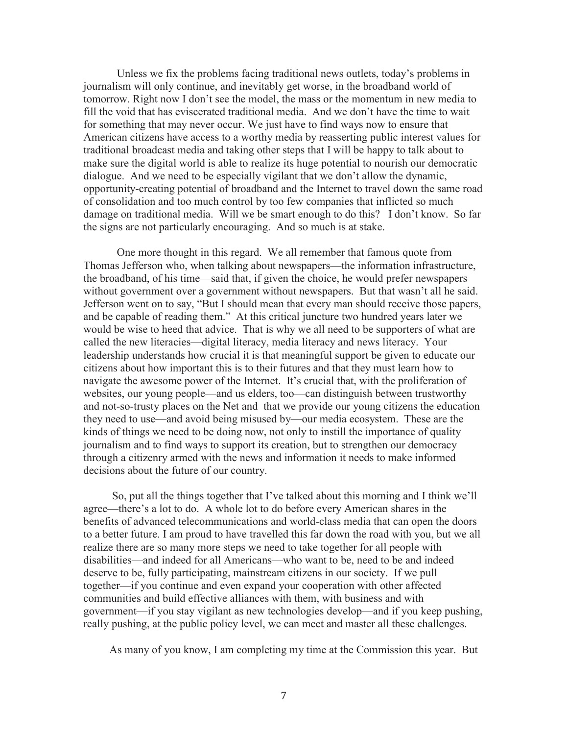Unless we fix the problems facing traditional news outlets, today's problems in journalism will only continue, and inevitably get worse, in the broadband world of tomorrow. Right now I don't see the model, the mass or the momentum in new media to fill the void that has eviscerated traditional media. And we don't have the time to wait for something that may never occur. We just have to find ways now to ensure that American citizens have access to a worthy media by reasserting public interest values for traditional broadcast media and taking other steps that I will be happy to talk about to make sure the digital world is able to realize its huge potential to nourish our democratic dialogue. And we need to be especially vigilant that we don't allow the dynamic, opportunity-creating potential of broadband and the Internet to travel down the same road of consolidation and too much control by too few companies that inflicted so much damage on traditional media. Will we be smart enough to do this? I don't know. So far the signs are not particularly encouraging. And so much is at stake.

One more thought in this regard. We all remember that famous quote from Thomas Jefferson who, when talking about newspapers—the information infrastructure, the broadband, of his time—said that, if given the choice, he would prefer newspapers without government over a government without newspapers. But that wasn't all he said. Jefferson went on to say, "But I should mean that every man should receive those papers, and be capable of reading them." At this critical juncture two hundred years later we would be wise to heed that advice. That is why we all need to be supporters of what are called the new literacies—digital literacy, media literacy and news literacy. Your leadership understands how crucial it is that meaningful support be given to educate our citizens about how important this is to their futures and that they must learn how to navigate the awesome power of the Internet. It's crucial that, with the proliferation of websites, our young people—and us elders, too—can distinguish between trustworthy and not-so-trusty places on the Net and that we provide our young citizens the education they need to use—and avoid being misused by—our media ecosystem. These are the kinds of things we need to be doing now, not only to instill the importance of quality journalism and to find ways to support its creation, but to strengthen our democracy through a citizenry armed with the news and information it needs to make informed decisions about the future of our country.

So, put all the things together that I've talked about this morning and I think we'll agree—there's a lot to do. A whole lot to do before every American shares in the benefits of advanced telecommunications and world-class media that can open the doors to a better future. I am proud to have travelled this far down the road with you, but we all realize there are so many more steps we need to take together for all people with disabilities—and indeed for all Americans—who want to be, need to be and indeed deserve to be, fully participating, mainstream citizens in our society. If we pull together—if you continue and even expand your cooperation with other affected communities and build effective alliances with them, with business and with government—if you stay vigilant as new technologies develop—and if you keep pushing, really pushing, at the public policy level, we can meet and master all these challenges.

As many of you know, I am completing my time at the Commission this year. But